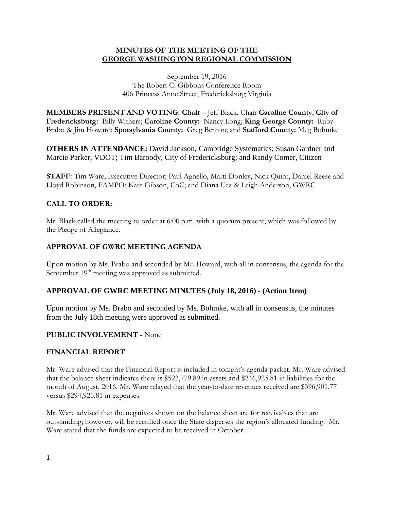## **MINUTES OF THE MEETING OF THE GEORGE WASHINGTON REGIONAL COMMISSION**

September 19, 2016 The Robert C. Gibbons Conference Room 406 Princess Anne Street, Fredericksburg Virginia

**MEMBERS PRESENT AND VOTING: Chair** – Jeff Black, Chair **Caroline County**; **City of Fredericksburg:** Billy Withers; **Caroline County:** Nancy Long; **King George County:** Ruby Brabo & Jim Howard; **Spotsylvania County:** Greg Benton; and **Stafford County:** Meg Bohmke

**OTHERS IN ATTENDANCE:** David Jackson, Cambridge Systematics; Susan Gardner and Marcie Parker, VDOT; Tim Baroody, City of Fredericksburg; and Randy Comer, Citizen

**STAFF:** Tim Ware, Executive Director; Paul Agnello, Marti Donley, Nick Quint, Daniel Reese and Lloyd Robinson, FAMPO; Kate Gibson, CoC; and Diana Utz & Leigh Anderson, GWRC

# **CALL TO ORDER:**

Mr. Black called the meeting to order at 6:00 p.m. with a quorum present; which was followed by the Pledge of Allegiance.

## **APPROVAL OF GWRC MEETING AGENDA**

Upon motion by Ms. Brabo and seconded by Mr. Howard, with all in consensus, the agenda for the September  $19<sup>th</sup>$  meeting was approved as submitted.

# **APPROVAL OF GWRC MEETING MINUTES (July 18, 2016) - (Action Item)**

Upon motion by Ms. Brabo and seconded by Ms. Bohmke, with all in consensus, the minutes from the July 18th meeting were approved as submitted.

### **PUBLIC INVOLVEMENT -** None

### **FINANCIAL REPORT**

Mr. Ware advised that the Financial Report is included in tonight's agenda packet. Mr. Ware advised that the balance sheet indicates there is \$523,779.89 in assets and \$246,925.81 in liabilities for the month of August, 2016. Mr. Ware relayed that the year-to-date revenues received are \$396,901.77 versus \$294,925.81 in expenses.

Mr. Ware advised that the negatives shown on the balance sheet are for receivables that are outstanding; however, will be rectified once the State disperses the region's allocated funding. Mr. Ware stated that the funds are expected to be received in October.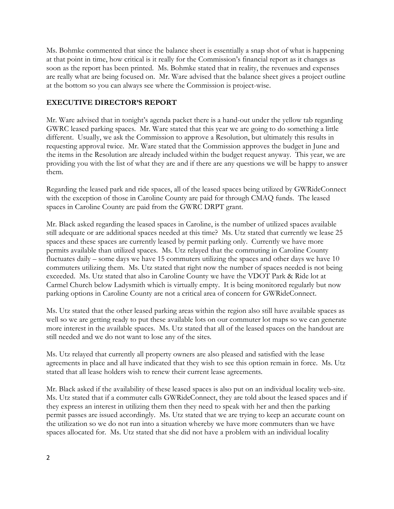Ms. Bohmke commented that since the balance sheet is essentially a snap shot of what is happening at that point in time, how critical is it really for the Commission's financial report as it changes as soon as the report has been printed. Ms. Bohmke stated that in reality, the revenues and expenses are really what are being focused on. Mr. Ware advised that the balance sheet gives a project outline at the bottom so you can always see where the Commission is project-wise.

# **EXECUTIVE DIRECTOR'S REPORT**

Mr. Ware advised that in tonight's agenda packet there is a hand-out under the yellow tab regarding GWRC leased parking spaces. Mr. Ware stated that this year we are going to do something a little different. Usually, we ask the Commission to approve a Resolution, but ultimately this results in requesting approval twice. Mr. Ware stated that the Commission approves the budget in June and the items in the Resolution are already included within the budget request anyway. This year, we are providing you with the list of what they are and if there are any questions we will be happy to answer them.

Regarding the leased park and ride spaces, all of the leased spaces being utilized by GWRideConnect with the exception of those in Caroline County are paid for through CMAQ funds. The leased spaces in Caroline County are paid from the GWRC DRPT grant.

Mr. Black asked regarding the leased spaces in Caroline, is the number of utilized spaces available still adequate or are additional spaces needed at this time? Ms. Utz stated that currently we lease 25 spaces and these spaces are currently leased by permit parking only. Currently we have more permits available than utilized spaces. Ms. Utz relayed that the commuting in Caroline County fluctuates daily – some days we have 15 commuters utilizing the spaces and other days we have 10 commuters utilizing them. Ms. Utz stated that right now the number of spaces needed is not being exceeded. Ms. Utz stated that also in Caroline County we have the VDOT Park & Ride lot at Carmel Church below Ladysmith which is virtually empty. It is being monitored regularly but now parking options in Caroline County are not a critical area of concern for GWRideConnect.

Ms. Utz stated that the other leased parking areas within the region also still have available spaces as well so we are getting ready to put these available lots on our commuter lot maps so we can generate more interest in the available spaces. Ms. Utz stated that all of the leased spaces on the handout are still needed and we do not want to lose any of the sites.

Ms. Utz relayed that currently all property owners are also pleased and satisfied with the lease agreements in place and all have indicated that they wish to see this option remain in force. Ms. Utz stated that all lease holders wish to renew their current lease agreements.

Mr. Black asked if the availability of these leased spaces is also put on an individual locality web-site. Ms. Utz stated that if a commuter calls GWRideConnect, they are told about the leased spaces and if they express an interest in utilizing them then they need to speak with her and then the parking permit passes are issued accordingly. Ms. Utz stated that we are trying to keep an accurate count on the utilization so we do not run into a situation whereby we have more commuters than we have spaces allocated for. Ms. Utz stated that she did not have a problem with an individual locality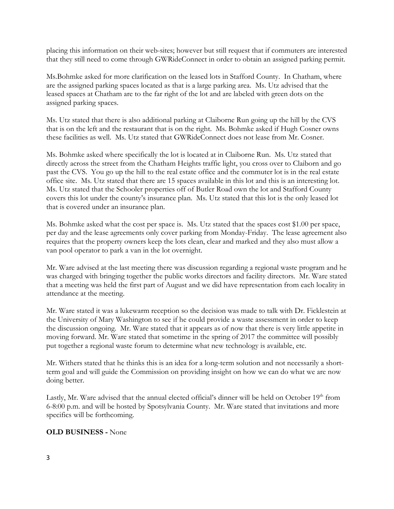placing this information on their web-sites; however but still request that if commuters are interested that they still need to come through GWRideConnect in order to obtain an assigned parking permit.

Ms.Bohmke asked for more clarification on the leased lots in Stafford County. In Chatham, where are the assigned parking spaces located as that is a large parking area. Ms. Utz advised that the leased spaces at Chatham are to the far right of the lot and are labeled with green dots on the assigned parking spaces.

Ms. Utz stated that there is also additional parking at Claiborne Run going up the hill by the CVS that is on the left and the restaurant that is on the right. Ms. Bohmke asked if Hugh Cosner owns these facilities as well. Ms. Utz stated that GWRideConnect does not lease from Mr. Cosner.

Ms. Bohmke asked where specifically the lot is located at in Claiborne Run. Ms. Utz stated that directly across the street from the Chatham Heights traffic light, you cross over to Claiborn and go past the CVS. You go up the hill to the real estate office and the commuter lot is in the real estate office site. Ms. Utz stated that there are 15 spaces available in this lot and this is an interesting lot. Ms. Utz stated that the Schooler properties off of Butler Road own the lot and Stafford County covers this lot under the county's insurance plan. Ms. Utz stated that this lot is the only leased lot that is covered under an insurance plan.

Ms. Bohmke asked what the cost per space is. Ms. Utz stated that the spaces cost \$1.00 per space, per day and the lease agreements only cover parking from Monday-Friday. The lease agreement also requires that the property owners keep the lots clean, clear and marked and they also must allow a van pool operator to park a van in the lot overnight.

Mr. Ware advised at the last meeting there was discussion regarding a regional waste program and he was charged with bringing together the public works directors and facility directors. Mr. Ware stated that a meeting was held the first part of August and we did have representation from each locality in attendance at the meeting.

Mr. Ware stated it was a lukewarm reception so the decision was made to talk with Dr. Ficklestein at the University of Mary Washington to see if he could provide a waste assessment in order to keep the discussion ongoing. Mr. Ware stated that it appears as of now that there is very little appetite in moving forward. Mr. Ware stated that sometime in the spring of 2017 the committee will possibly put together a regional waste forum to determine what new technology is available, etc.

Mr. Withers stated that he thinks this is an idea for a long-term solution and not necessarily a shortterm goal and will guide the Commission on providing insight on how we can do what we are now doing better.

Lastly, Mr. Ware advised that the annual elected official's dinner will be held on October 19<sup>th</sup> from 6-8:00 p.m. and will be hosted by Spotsylvania County. Mr. Ware stated that invitations and more specifics will be forthcoming.

### **OLD BUSINESS -** None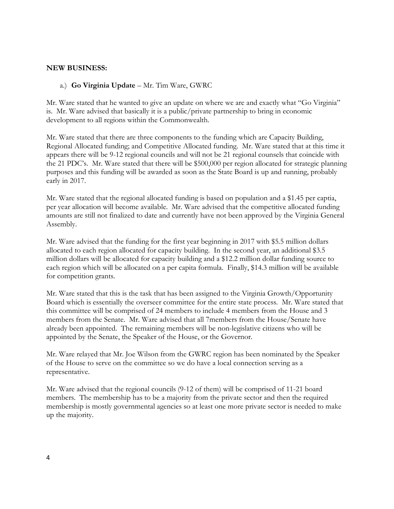#### **NEW BUSINESS:**

#### a.) **Go Virginia Update** – Mr. Tim Ware, GWRC

Mr. Ware stated that he wanted to give an update on where we are and exactly what "Go Virginia" is. Mr. Ware advised that basically it is a public/private partnership to bring in economic development to all regions within the Commonwealth.

Mr. Ware stated that there are three components to the funding which are Capacity Building, Regional Allocated funding; and Competitive Allocated funding. Mr. Ware stated that at this time it appears there will be 9-12 regional councils and will not be 21 regional counsels that coincide with the 21 PDC's. Mr. Ware stated that there will be \$500,000 per region allocated for strategic planning purposes and this funding will be awarded as soon as the State Board is up and running, probably early in 2017.

Mr. Ware stated that the regional allocated funding is based on population and a \$1.45 per captia, per year allocation will become available. Mr. Ware advised that the competitive allocated funding amounts are still not finalized to date and currently have not been approved by the Virginia General Assembly.

Mr. Ware advised that the funding for the first year beginning in 2017 with \$5.5 million dollars allocated to each region allocated for capacity building. In the second year, an additional \$3.5 million dollars will be allocated for capacity building and a \$12.2 million dollar funding source to each region which will be allocated on a per capita formula. Finally, \$14.3 million will be available for competition grants.

Mr. Ware stated that this is the task that has been assigned to the Virginia Growth/Opportunity Board which is essentially the overseer committee for the entire state process. Mr. Ware stated that this committee will be comprised of 24 members to include 4 members from the House and 3 members from the Senate. Mr. Ware advised that all 7members from the House/Senate have already been appointed. The remaining members will be non-legislative citizens who will be appointed by the Senate, the Speaker of the House, or the Governor.

Mr. Ware relayed that Mr. Joe Wilson from the GWRC region has been nominated by the Speaker of the House to serve on the committee so we do have a local connection serving as a representative.

Mr. Ware advised that the regional councils (9-12 of them) will be comprised of 11-21 board members. The membership has to be a majority from the private sector and then the required membership is mostly governmental agencies so at least one more private sector is needed to make up the majority.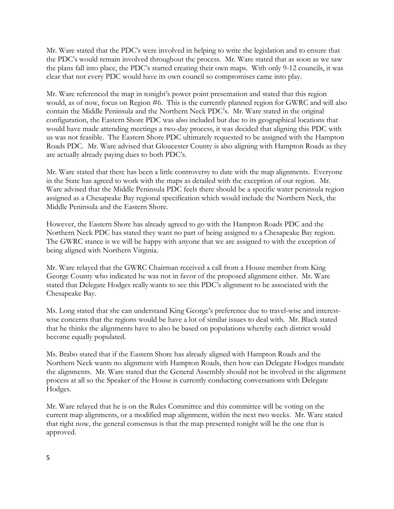Mr. Ware stated that the PDC's were involved in helping to write the legislation and to ensure that the PDC's would remain involved throughout the process. Mr. Ware stated that as soon as we saw the plans fall into place, the PDC's started creating their own maps. With only 9-12 councils, it was clear that not every PDC would have its own council so compromises came into play.

Mr. Ware referenced the map in tonight's power point presentation and stated that this region would, as of now, focus on Region #6. This is the currently planned region for GWRC and will also contain the Middle Peninsula and the Northern Neck PDC's. Mr. Ware stated in the original configuration, the Eastern Shore PDC was also included but due to its geographical locations that would have made attending meetings a two-day process, it was decided that aligning this PDC with us was not feasible. The Eastern Shore PDC ultimately requested to be assigned with the Hampton Roads PDC. Mr. Ware advised that Gloucester County is also aligning with Hampton Roads as they are actually already paying dues to both PDC's.

Mr. Ware stated that there has been a little controversy to date with the map alignments. Everyone in the State has agreed to work with the maps as detailed with the exception of our region. Mr. Ware advised that the Middle Peninsula PDC feels there should be a specific water peninsula region assigned as a Chesapeake Bay regional specification which would include the Northern Neck, the Middle Peninsula and the Eastern Shore.

However, the Eastern Shore has already agreed to go with the Hampton Roads PDC and the Northern Neck PDC has stated they want no part of being assigned to a Chesapeake Bay region. The GWRC stance is we will be happy with anyone that we are assigned to with the exception of being aligned with Northern Virginia.

Mr. Ware relayed that the GWRC Chairman received a call from a House member from King George County who indicated he was not in favor of the proposed alignment either. Mr. Ware stated that Delegate Hodges really wants to see this PDC's alignment to be associated with the Chesapeake Bay.

Ms. Long stated that she can understand King George's preference due to travel-wise and interestwise concerns that the regions would be have a lot of similar issues to deal with. Mr. Black stated that he thinks the alignments have to also be based on populations whereby each district would become equally populated.

Ms. Brabo stated that if the Eastern Shore has already aligned with Hampton Roads and the Northern Neck wants no alignment with Hampton Roads, then how can Delegate Hodges mandate the alignments. Mr. Ware stated that the General Assembly should not be involved in the alignment process at all so the Speaker of the House is currently conducting conversations with Delegate Hodges.

Mr. Ware relayed that he is on the Rules Committee and this committee will be voting on the current map alignments, or a modified map alignment, within the next two weeks. Mr. Ware stated that right now, the general consensus is that the map presented tonight will be the one that is approved.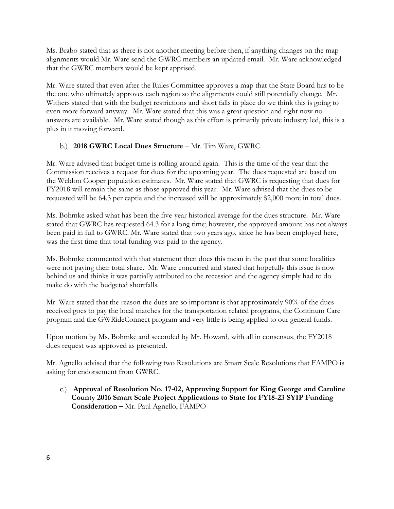Ms. Brabo stated that as there is not another meeting before then, if anything changes on the map alignments would Mr. Ware send the GWRC members an updated email. Mr. Ware acknowledged that the GWRC members would be kept apprised.

Mr. Ware stated that even after the Rules Committee approves a map that the State Board has to be the one who ultimately approves each region so the alignments could still potentially change. Mr. Withers stated that with the budget restrictions and short falls in place do we think this is going to even more forward anyway. Mr. Ware stated that this was a great question and right now no answers are available. Mr. Ware stated though as this effort is primarily private industry led, this is a plus in it moving forward.

## b.) **2018 GWRC Local Dues Structure** – Mr. Tim Ware, GWRC

Mr. Ware advised that budget time is rolling around again. This is the time of the year that the Commission receives a request for dues for the upcoming year. The dues requested are based on the Weldon Cooper population estimates. Mr. Ware stated that GWRC is requesting that dues for FY2018 will remain the same as those approved this year. Mr. Ware advised that the dues to be requested will be 64.3 per captia and the increased will be approximately \$2,000 more in total dues.

Ms. Bohmke asked what has been the five-year historical average for the dues structure. Mr. Ware stated that GWRC has requested 64.3 for a long time; however, the approved amount has not always been paid in full to GWRC. Mr. Ware stated that two years ago, since he has been employed here, was the first time that total funding was paid to the agency.

Ms. Bohmke commented with that statement then does this mean in the past that some localities were not paying their total share. Mr. Ware concurred and stated that hopefully this issue is now behind us and thinks it was partially attributed to the recession and the agency simply had to do make do with the budgeted shortfalls.

Mr. Ware stated that the reason the dues are so important is that approximately 90% of the dues received goes to pay the local matches for the transportation related programs, the Continum Care program and the GWRideConnect program and very little is being applied to our general funds.

Upon motion by Ms. Bohmke and seconded by Mr. Howard, with all in consensus, the FY2018 dues request was approved as presented.

Mr. Agnello advised that the following two Resolutions are Smart Scale Resolutions that FAMPO is asking for endorsement from GWRC.

c.) **Approval of Resolution No. 17-02, Approving Support for King George and Caroline County 2016 Smart Scale Project Applications to State for FY18-23 SYIP Funding Consideration –** Mr. Paul Agnello, FAMPO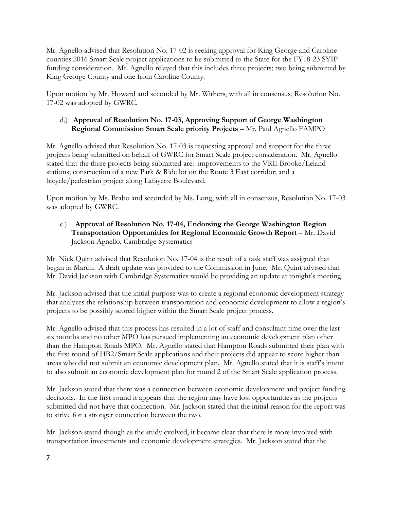Mr. Agnello advised that Resolution No. 17-02 is seeking approval for King George and Caroline counties 2016 Smart Scale project applications to be submitted to the State for the FY18-23 SYIP funding consideration. Mr. Agnello relayed that this includes three projects; two being submitted by King George County and one from Caroline County.

Upon motion by Mr. Howard and seconded by Mr. Withers, with all in consensus, Resolution No. 17-02 was adopted by GWRC.

## d.) **Approval of Resolution No. 17-03, Approving Support of George Washington Regional Commission Smart Scale priority Projects** – Mr. Paul Agnello FAMPO

Mr. Agnello advised that Resolution No. 17-03 is requesting approval and support for the three projects being submitted on behalf of GWRC for Smart Scale project consideration. Mr. Agnello stated that the three projects being submitted are: improvements to the VRE Brooke/Leland stations; construction of a new Park & Ride lot on the Route 3 East corridor; and a bicycle/pedestrian project along Lafayette Boulevard.

Upon motion by Ms. Brabo and seconded by Ms. Long, with all in consensus, Resolution No. 17-03 was adopted by GWRC.

# e.) **Approval of Resolution No. 17-04, Endorsing the George Washington Region Transportation Opportunities for Regional Economic Growth Report** – Mr. David Jackson Agnello, Cambridge Systematics

Mr. Nick Quint advised that Resolution No. 17-04 is the result of a task staff was assigned that began in March. A draft update was provided to the Commission in June. Mr. Quint advised that Mr. David Jackson with Cambridge Systematics would be providing an update at tonight's meeting.

Mr. Jackson advised that the initial purpose was to create a regional economic development strategy that analyzes the relationship between transportation and economic development to allow a region's projects to be possibly scored higher within the Smart Scale project process.

Mr. Agnello advised that this process has resulted in a lot of staff and consultant time over the last six months and no other MPO has pursued implementing an economic development plan other than the Hampton Roads MPO. Mr. Agnello stated that Hampton Roads submitted their plan with the first round of HB2/Smart Scale applications and their projects did appear to score higher than areas who did not submit an economic development plan. Mr. Agnello stated that it is staff's intent to also submit an economic development plan for round 2 of the Smart Scale application process.

Mr. Jackson stated that there was a connection between economic development and project funding decisions. In the first round it appears that the region may have lost opportunities as the projects submitted did not have that connection. Mr. Jackson stated that the initial reason for the report was to strive for a stronger connection between the two.

Mr. Jackson stated though as the study evolved, it became clear that there is more involved with transportation investments and economic development strategies. Mr. Jackson stated that the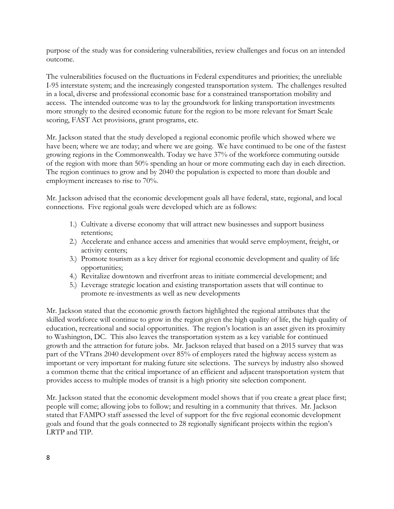purpose of the study was for considering vulnerabilities, review challenges and focus on an intended outcome.

The vulnerabilities focused on the fluctuations in Federal expenditures and priorities; the unreliable I-95 interstate system; and the increasingly congested transportation system. The challenges resulted in a local, diverse and professional economic base for a constrained transportation mobility and access. The intended outcome was to lay the groundwork for linking transportation investments more strongly to the desired economic future for the region to be more relevant for Smart Scale scoring, FAST Act provisions, grant programs, etc.

Mr. Jackson stated that the study developed a regional economic profile which showed where we have been; where we are today; and where we are going. We have continued to be one of the fastest growing regions in the Commonwealth. Today we have 37% of the workforce commuting outside of the region with more than 50% spending an hour or more commuting each day in each direction. The region continues to grow and by 2040 the population is expected to more than double and employment increases to rise to 70%.

Mr. Jackson advised that the economic development goals all have federal, state, regional, and local connections. Five regional goals were developed which are as follows:

- 1.) Cultivate a diverse economy that will attract new businesses and support business retentions;
- 2.) Accelerate and enhance access and amenities that would serve employment, freight, or activity centers;
- 3.) Promote tourism as a key driver for regional economic development and quality of life opportunities;
- 4.) Revitalize downtown and riverfront areas to initiate commercial development; and
- 5.) Leverage strategic location and existing transportation assets that will continue to promote re-investments as well as new developments

Mr. Jackson stated that the economic growth factors highlighted the regional attributes that the skilled workforce will continue to grow in the region given the high quality of life, the high quality of education, recreational and social opportunities. The region's location is an asset given its proximity to Washington, DC. This also leaves the transportation system as a key variable for continued growth and the attraction for future jobs. Mr. Jackson relayed that based on a 2015 survey that was part of the VTrans 2040 development over 85% of employers rated the highway access system as important or very important for making future site selections. The surveys by industry also showed a common theme that the critical importance of an efficient and adjacent transportation system that provides access to multiple modes of transit is a high priority site selection component.

Mr. Jackson stated that the economic development model shows that if you create a great place first; people will come; allowing jobs to follow; and resulting in a community that thrives. Mr. Jackson stated that FAMPO staff assessed the level of support for the five regional economic development goals and found that the goals connected to 28 regionally significant projects within the region's LRTP and TIP.